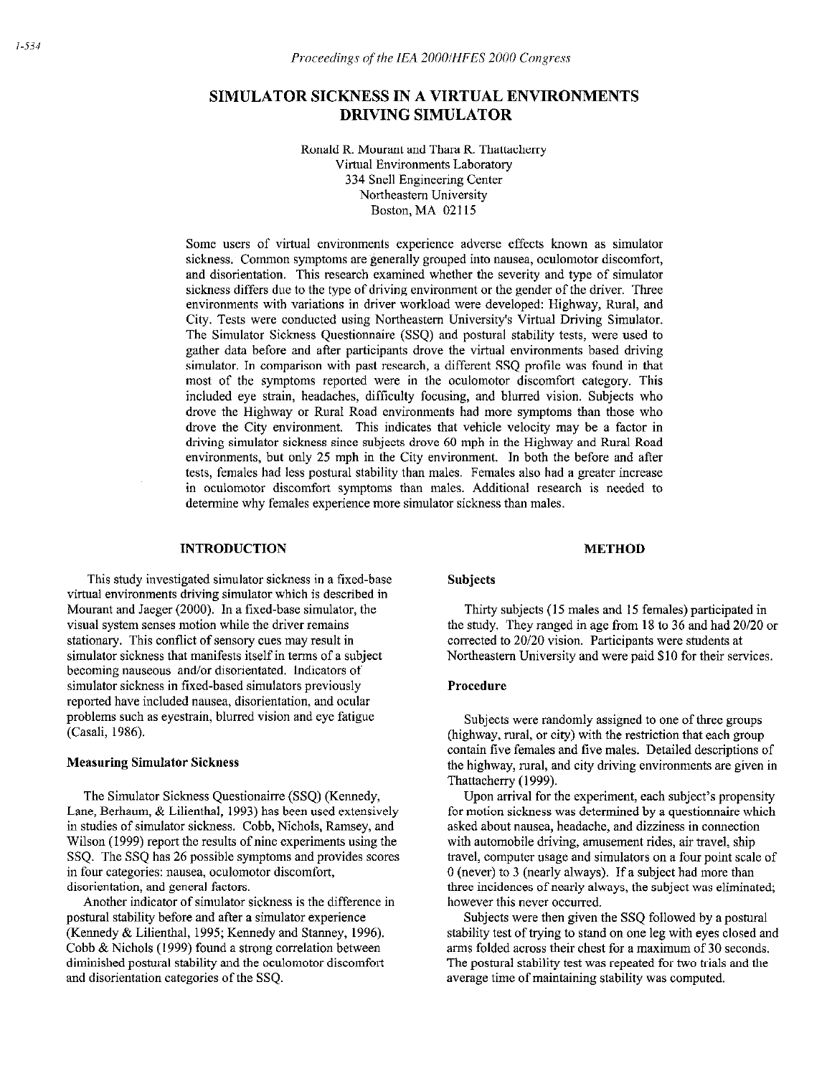# SIMULATOR SICKNESS IN A VIRTUAL ENVIRONMENTS DRIVING SIMULATOR

Ronald R. Mourant and Thara R. Thattacheny Virtual Environments Laboratory 334 Snell Engineering Center Northeastern University Boston, MA 02115

Some users of virtual environments experience adverse effects known as simulator sickness. Common symptoms are generally grouped into nausea, oculomotor discomfort, and disorientation. This research examined whether the severity and type of simulator sickness differs due to the type of driving environment or the gender of the driver. Three environments with variations in driver workload were developed: Highway, Rural, and City. Tests were conducted using Northeastern University's Virtual Driving Simulator. The Simulator Sickness Questionnaire (SSQ) and postural stability tests, were used to gather data before and after participants drove the virtual environments based driving simulator. In comparison with past research, a different SSQ profile was found in that most of the symptoms reported were in the oculomotor discomfort category. This included eye strain, headaches, difficulty focusing, and blurred vision. Subjects who drove the Highway or Rural Road environments had more symptoms than those who drove the City environment. This indicates that vehicle velocity may be a factor in driving simulator sickness since subjects drove 60 mph in the Highway and Rural Road environments, but only 25 mph in the City environment. In both the before and after tests, females had less postural stability than males. Females also had a greater increase in oculomotor discomfort symptoms than males. Additional research is needed to determine why females experience more simulator sickness than males.

### INTRODUCTION

This study investigated simulator sickness in a fixed-base virtual environments driving simulator which is described in Mourant and Jaeger (2000). In a fixed-base simulator, the visual system senses motion while the driver remains stationary. This conflict of sensory cues may result in simulator sickness that manifests itself in terms of a subject becoming nauseous and/or disorientated. Indicators of simulator sickness in fixed-based simulators previously reported have included nausea, disorientation, and ocular problems such as eyestrain, blurred vision and eye fatigue (Casali, 1986).

## Measuring Simulator Sickness

The Simulator Sickness Questionairre (SSQ) (Kennedy, Lane, Berhaum, & Lilienthal, 1993) has been used extensively in studies of simulator sickness. Cobb, Nichols, Ramsey, and Wilson (1999) report the results of nine experiments using the SSQ. The SSQ has 26 possible symptoms and provides scores in four categories: nausea, oculomotor discomfort, disorientation, and general factors.

Another indicator of simulator sickness is the difference in postural stability before and after a simulator experience (Kennedy & Lilienthal, 1995; Kennedy and Stanney, 1996). Cobb  $&\text{Nichols}$  (1999) found a strong correlation between diminished postural stability and the oculomotor discomfort and disorientation categories of the SSQ.

### Subjects

Thirty subjects (15 males and 15 females) participated in the study. They ranged in age from 18 to 36 and had 20/20 or corrected to 20/20 vision. Participants were students at Northeastern University and were paid \$10 for their services.

METHOD

### Procedure

Subjects were randomly assigned to one of three groups (highway, rural, or city) with the restriction that each group contain five females and five males. Detailed descriptions of the highway, mral, and city driving environments are given in Thattacherry (1999).

Upon arrival for the experiment, each subject's propensity for motion sickness was determined by a questionnaire which asked about nausea, headache, and dizziness in connection with automobile driving, amusement rides, air travel, ship travel, computer usage and simulators on a four point scale of 0 (never) to 3 (nearly always). If a subject had more than three incidences of nearly always, the subject was eliminated; however this never occurred.

Subjects were then given the SSQ followed by a postural stability test of trying to stand on one leg with eyes closed and arms folded across their chest for a maximum of 30 seconds. The postural stability test was repeated for two trials and the average time of maintaining stability was computed.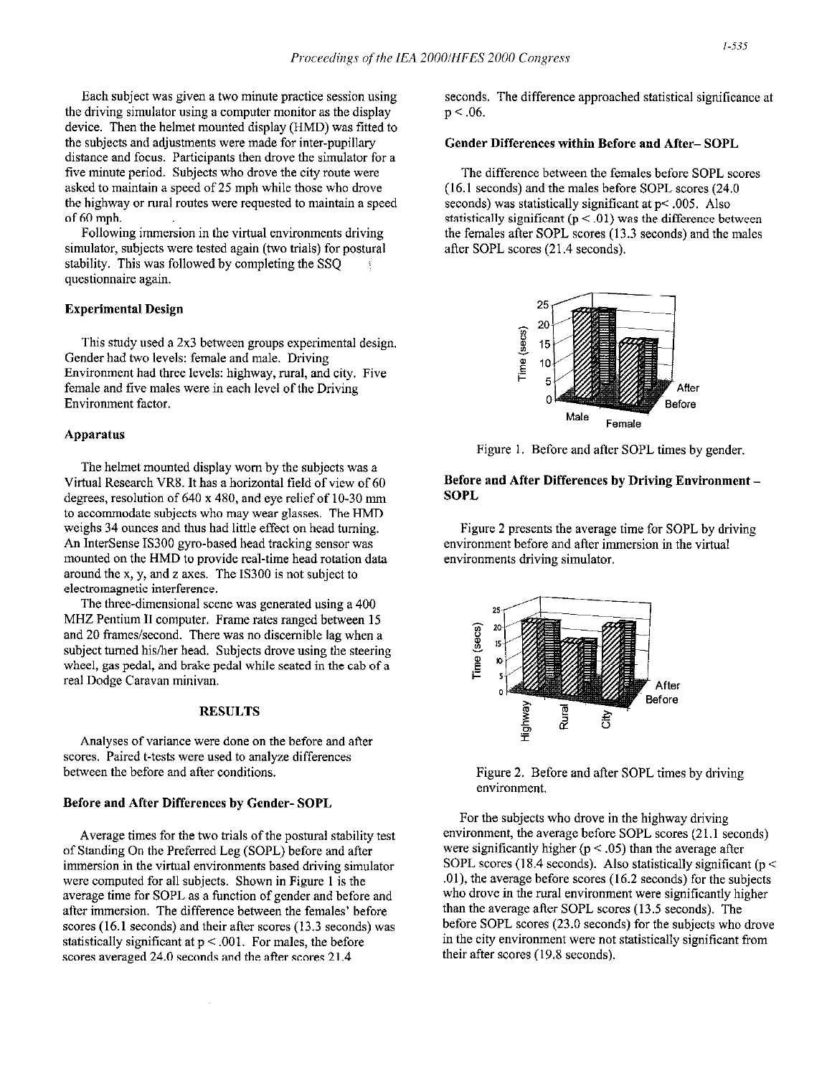Each subject was given a two minute practice session using the driving simulator using a computer monitor as the display device. Then the helmet mounted display (HMD) was fitted to the subjects and adjustments were made for inter-pupillary distance and focus. Participants then drove the simulator for a five minute period. Subjects who drove the city route were asked to maintain a speed of 25 mph while those who drove the highway or rural routes were requested to maintain a speed of 60 mph.

Following immersion in the virtual environments driving simulator, subjects were tested again (two trials) for postural stability. This was followed by completing the SSQ questionnaire again.

### Experimental Design

This study used a 2x3 between groups experimental design. Gender had two levels: female and male. Driving Environment had three levels: highway, rural, and city. Five female and five males were in each level of the Driving Environment factor.

### Apparatus

The helmet mounted display worn by the subjects was a Virtual Research VR8. It has a horizontal field of view of 60 degrees, resolution of  $640 \times 480$ , and eye relief of 10-30 mm to accommodate subjects who may wear glasses. The HMD weighs 34 ounces and thus had little effect on head turning. An InterSense IS300 gyro-based head tracking sensor was mounted on the HMD to provide real-time head rotation data around the x, y, and z axes. The IS300 is not subject to electromagnetic interference.

The three-dimensional scene was generated using a 400 MHZ Pentium II computer. Frame rates ranged between 15 and 20 frames/second. There was no discernible lag when a subject turned his/her head. Subjects drove using the steering wheel, gas pedal, and brake pedal while seated in the cab of a real Dodge Caravan minivan.

## **RESULTS**

Analyses of variance were done on the before and after scores. Paired t-tests were used to analyze differences between the before and after conditions.

### Before and After Differences by Gender- SOPL

Average times for the two trials of the postural stability test of Standing On the Preferred Leg (SOPL) before and after immersion in the virtual environments based driving simulator were computed for all subjects. Shown in Figure 1 is the average time for SOPL as a function of gender and before and after immersion. The difference between the females' before scores (16.1 seconds) and their after scores (13.3 seconds) was statistically significant at  $p < .001$ . For males, the before scores averaged 24.0 seconds and the after scores 21.4

seconds. The difference approached statistical significance at  $p < .06$ .

### Gender Differences within Before and After- SOPL

The difference between the females before SOPL scores (16.1 seconds) and the males before SOPL scores (24.0 seconds) was statistically significant at p< .005. Also statistically significant  $(p < .01)$  was the difference between the females after SOPL scores (13.3 seconds) and the males after SOPL scores (21.4 seconds).



Figure 1. Before and after SOPL times by gender,

### Before and After Differences by Driving Environment - **SOPL**

Figure 2 presents the average time for SOPL by driving environment before and after immersion in the virtual environments driving simulator.



Figure 2. Before and after SOPL times by driving environment.

For the subjects who drove in the highway driving environment, the average before SOPL scores  $(21.1$  seconds) were significantly higher ( $p < .05$ ) than the average after SOPL scores (18.4 seconds). Also statistically significant ( $p <$ .Ol), the average before scores (16.2 seconds) for the subjects who drove in the rural environment were significantly higher than the average after SOPL scores (13.5 seconds). The before SOPL scores (23.0 seconds) for the subjects who drove in the city environment were not statistically significant from their after scores (19.8 seconds).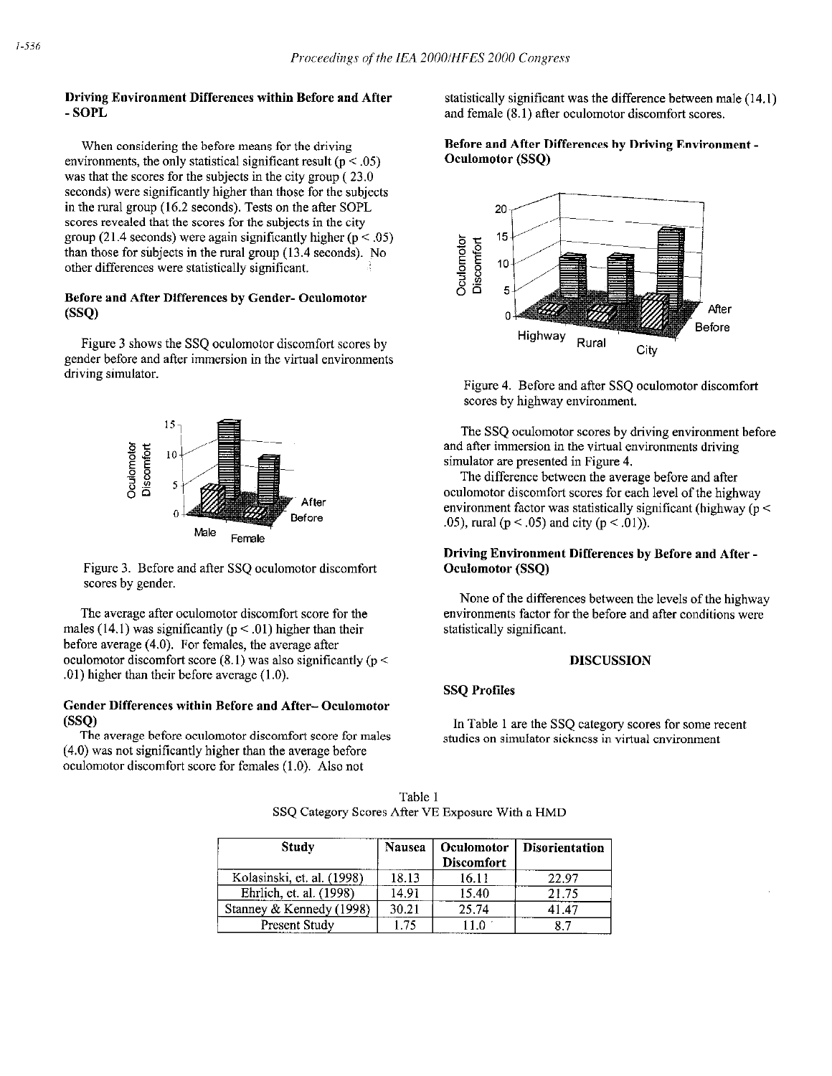When considering the before means for the driving environments, the only statistical significant result ( $p < .05$ ) was that the scores for the subjects in the city group ( 23.0 seconds) were significantly higher than those for the subjects in the rural group (16.2 seconds). Tests on the after SOPL scores revealed that the scores for the subjects in the city group (21.4 seconds) were again significantly higher ( $p < .05$ ) than those for subjects in the rural group (13.4 seconds). No other differences were statistically significant.

## Before and After Differences by Gender- Oculomotor  $(SSO)$

Figure 3 shows the SSQ oculomotor discomfort scores by gender before and after immersion in the virtnal environments driving simulator.



Figure 3. Before and after SSQ oculomotor discomfort scores by gender.

The average after oculomotor discomfort score for the males (14.1) was significantly ( $p < .01$ ) higher than their before average (4.0). For females, the average after oculomotor discomfort score  $(8.1)$  was also significantly ( $p <$ .Ol) higher than their before average (1.0).

## Gender Differences within Before and After- Ocnlomotor  $(SSO)$

The average before oculomotor discomfort score for males (4.0) was not significantly higher than the average before oculomotor discomfort score for females (1.0). Also not

Driving Environment Differences within Before and After statistically significant was the difference between male (14.1)<br>SOPL statistically significant was the difference between male (14.1) and female  $(8.1)$  after oculomotor discomfort scores.

## Before and After Differences by Driving Environment - Oeulomotor (SSQ)



Figure 4. Before and after SSQ oculomotor discomfort scores by highway environment.

The SSQ oculomotor scores by driving environment before and after immersion in the virtual environments driving simulator are presented in Figure 4.

The difference between the average before and after oculomotor discomfort scores for each level of the highway environment factor was statistically significant (highway ( $p <$ .05), rural ( $p < .05$ ) and city ( $p < .01$ )).

## Driving Environment Differences by Before and After - Oculomotor (SSQ)

None of the differences between the levels of the highway environments factor for the before and after conditions were statistically significant.

### DISCUSSION

### SSQ Profiles

In Table 1 are the SSQ category scores for some recent studies on simulator sickness in virtual environment

| <b>Study</b>               | <b>Nausea</b> | Oculomotor<br><b>Discomfort</b> | <b>Disorientation</b> |
|----------------------------|---------------|---------------------------------|-----------------------|
| Kolasinski, et. al. (1998) | 18.13         | 16.11                           | 22.97                 |
| Ehrlich, et. al. (1998)    | 14.91         | 15.40                           | 21.75                 |
| Stanney & Kennedy (1998)   | 30.21         | 25.74                           | 41.47                 |
| Present Study              | 1.75          | 11 O                            | 87                    |

Table 1 SSQ Category Scores After VE Exposure With a HMD